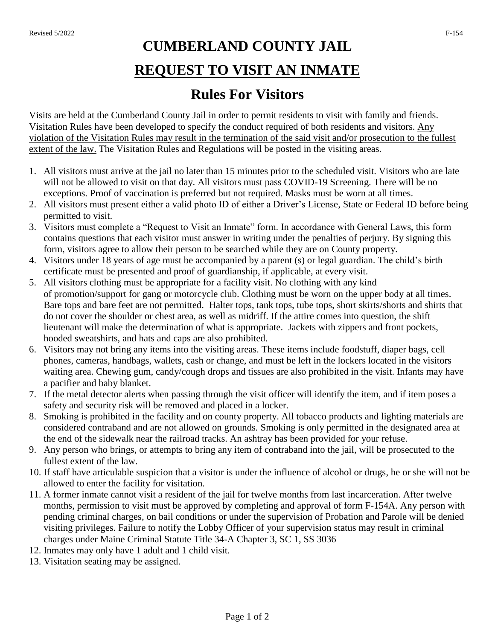## **CUMBERLAND COUNTY JAIL REQUEST TO VISIT AN INMATE**

## **Rules For Visitors**

Visits are held at the Cumberland County Jail in order to permit residents to visit with family and friends. Visitation Rules have been developed to specify the conduct required of both residents and visitors. Any violation of the Visitation Rules may result in the termination of the said visit and/or prosecution to the fullest extent of the law. The Visitation Rules and Regulations will be posted in the visiting areas.

- 1. All visitors must arrive at the jail no later than 15 minutes prior to the scheduled visit. Visitors who are late will not be allowed to visit on that day. All visitors must pass COVID-19 Screening. There will be no exceptions. Proof of vaccination is preferred but not required. Masks must be worn at all times.
- 2. All visitors must present either a valid photo ID of either a Driver's License, State or Federal ID before being permitted to visit.
- 3. Visitors must complete a "Request to Visit an Inmate" form. In accordance with General Laws, this form contains questions that each visitor must answer in writing under the penalties of perjury. By signing this form, visitors agree to allow their person to be searched while they are on County property.
- 4. Visitors under 18 years of age must be accompanied by a parent (s) or legal guardian. The child's birth certificate must be presented and proof of guardianship, if applicable, at every visit.
- 5. All visitors clothing must be appropriate for a facility visit. No clothing with any kind of promotion/support for gang or motorcycle club. Clothing must be worn on the upper body at all times. Bare tops and bare feet are not permitted. Halter tops, tank tops, tube tops, short skirts/shorts and shirts that do not cover the shoulder or chest area, as well as midriff. If the attire comes into question, the shift lieutenant will make the determination of what is appropriate. Jackets with zippers and front pockets, hooded sweatshirts, and hats and caps are also prohibited.
- 6. Visitors may not bring any items into the visiting areas. These items include foodstuff, diaper bags, cell phones, cameras, handbags, wallets, cash or change, and must be left in the lockers located in the visitors waiting area. Chewing gum, candy/cough drops and tissues are also prohibited in the visit. Infants may have a pacifier and baby blanket.
- 7. If the metal detector alerts when passing through the visit officer will identify the item, and if item poses a safety and security risk will be removed and placed in a locker.
- 8. Smoking is prohibited in the facility and on county property. All tobacco products and lighting materials are considered contraband and are not allowed on grounds*.* Smoking is only permitted in the designated area at the end of the sidewalk near the railroad tracks. An ashtray has been provided for your refuse.
- 9. Any person who brings, or attempts to bring any item of contraband into the jail, will be prosecuted to the fullest extent of the law.
- 10. If staff have articulable suspicion that a visitor is under the influence of alcohol or drugs, he or she will not be allowed to enter the facility for visitation.
- 11. A former inmate cannot visit a resident of the jail for twelve months from last incarceration. After twelve months, permission to visit must be approved by completing and approval of form F-154A. Any person with pending criminal charges, on bail conditions or under the supervision of Probation and Parole will be denied visiting privileges. Failure to notify the Lobby Officer of your supervision status may result in criminal charges under Maine Criminal Statute Title 34-A Chapter 3, SC 1, SS 3036
- 12. Inmates may only have 1 adult and 1 child visit.
- 13. Visitation seating may be assigned.